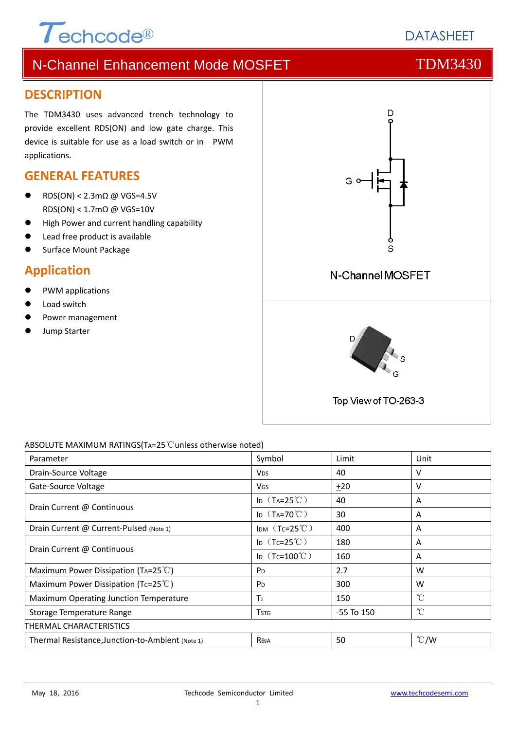# $\tau$ echcode®

# N-Channel Enhancement Mode MOSFET THE TDM3430

### **DESCRIPTION**

The TDM3430 uses advanced trench technology to provide excellent RDS(ON) and low gate charge. This device is suitable for use as a load switch or in PWM applications.

## **GENERAL FEATURES**

- RDS(ON) < 2.3mΩ @ VGS=4.5V RDS(ON) < 1.7mΩ @ VGS=10V
- High Power and current handling capability
- Lead free product is available
- Surface Mount Package

# **Application**

- PWM applications
- Load switch
- Power management
- Jump Starter



### ABSOLUTE MAXIMUM RATINGS(TA=25℃unless otherwise noted)

| Parameter                                        | Symbol                  | Limit          | Unit          |
|--------------------------------------------------|-------------------------|----------------|---------------|
| Drain-Source Voltage                             | <b>V<sub>DS</sub></b>   | 40             | v             |
| Gate-Source Voltage                              | <b>V<sub>GS</sub></b>   | ±20            | v             |
| Drain Current @ Continuous                       | ID $(T_A=25^{\circ}C)$  | 40             | A             |
|                                                  | ID $(T_A=70^{\circ}C)$  | 30             | A             |
| Drain Current @ Current-Pulsed (Note 1)          | IDM $(Tc=25^{\circ}$ C) | 400            | A             |
| Drain Current @ Continuous                       | ID $(Tc=25^{\circ}C)$   | 180            | A             |
|                                                  | ID $(Tc=100^{\circ}C)$  | 160            | A             |
| Maximum Power Dissipation (TA=25 $\degree$ C)    | P <sub>D</sub>          | 2.7            | W             |
| Maximum Power Dissipation (Tc=25 $^{\circ}$ C)   | P <sub>D</sub>          | 300            | W             |
| Maximum Operating Junction Temperature           | Τı                      | 150            | °C            |
| Storage Temperature Range                        | <b>T</b> <sub>STG</sub> | $-55$ To $150$ | $^{\circ}$ C  |
| THERMAL CHARACTERISTICS                          |                         |                |               |
| Thermal Resistance, Junction-to-Ambient (Note 1) | Reja                    | 50             | $\degree$ C/W |

# **DATASHEFT**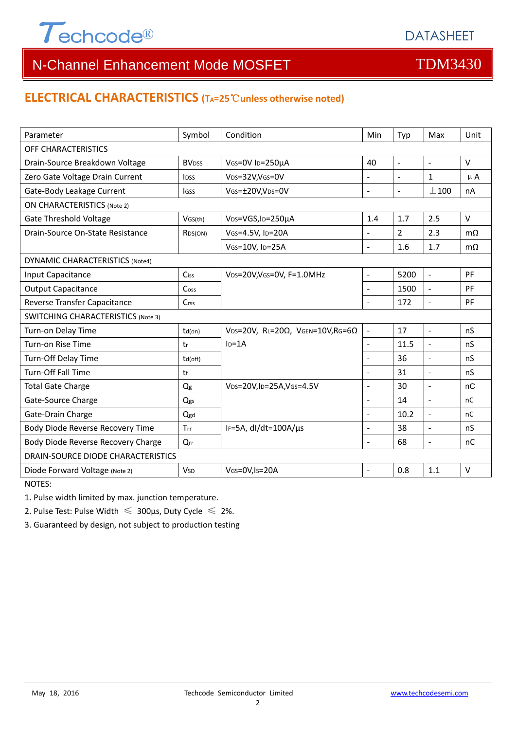

# N-Channel Enhancement Mode MOSFET THE TDM3430

### **ELECTRICAL CHARACTERISTICS (TA=25**℃**unless otherwise noted)**

| Parameter                                 | Symbol                  | Condition                                         | Min                      | Typ            | Max                      | Unit      |  |  |  |
|-------------------------------------------|-------------------------|---------------------------------------------------|--------------------------|----------------|--------------------------|-----------|--|--|--|
| OFF CHARACTERISTICS                       |                         |                                                   |                          |                |                          |           |  |  |  |
| Drain-Source Breakdown Voltage            | <b>BVDSS</b>            | VGS=0V ID=250µA                                   | 40                       | $\blacksquare$ | $\blacksquare$           | $\vee$    |  |  |  |
| Zero Gate Voltage Drain Current           | <b>l</b> <sub>DSS</sub> | VDS=32V,VGS=0V                                    |                          |                | $\mathbf 1$              | $\mu$ A   |  |  |  |
| Gate-Body Leakage Current                 | lgss                    | VGS=±20V,VDS=0V                                   | $\overline{a}$           | $\blacksquare$ | ±100                     | nA        |  |  |  |
| <b>ON CHARACTERISTICS (Note 2)</b>        |                         |                                                   |                          |                |                          |           |  |  |  |
| <b>Gate Threshold Voltage</b>             | VGS(th)                 | VDS=VGS, ID=250µA                                 | 1.4                      | 1.7            | 2.5                      | $\vee$    |  |  |  |
| Drain-Source On-State Resistance          | RDS(ON)                 | VGS=4.5V, ID=20A                                  |                          | $\overline{2}$ | 2.3                      | $m\Omega$ |  |  |  |
|                                           |                         | VGS=10V, ID=25A                                   | $\overline{a}$           | 1.6            | 1.7                      | $m\Omega$ |  |  |  |
| <b>DYNAMIC CHARACTERISTICS (Note4)</b>    |                         |                                                   |                          |                |                          |           |  |  |  |
| Input Capacitance                         | Ciss                    | VDS=20V, VGS=0V, F=1.0MHz                         | $\blacksquare$           | 5200           | $\overline{\phantom{a}}$ | PF        |  |  |  |
| <b>Output Capacitance</b>                 | Coss                    |                                                   | $\overline{\phantom{a}}$ | 1500           | $\bar{\phantom{a}}$      | PF        |  |  |  |
| Reverse Transfer Capacitance              | Crss                    |                                                   | $\overline{\phantom{a}}$ | 172            | $\overline{\phantom{a}}$ | PF        |  |  |  |
| <b>SWITCHING CHARACTERISTICS (Note 3)</b> |                         |                                                   |                          |                |                          |           |  |  |  |
| Turn-on Delay Time                        | $td($ on $)$            | VDS=20V, RL=20 $\Omega$ , VGEN=10V, RG=6 $\Omega$ | $\blacksquare$           | 17             | $\mathbb{L}$             | nS        |  |  |  |
| Turn-on Rise Time                         | tr                      | $ID=1A$                                           | $\overline{a}$           | 11.5           | $\overline{\phantom{a}}$ | nS        |  |  |  |
| Turn-Off Delay Time                       | td(off)                 |                                                   |                          | 36             | $\sim$                   | nS        |  |  |  |
| Turn-Off Fall Time                        | tf                      |                                                   | $\overline{a}$           | 31             | $\sim$                   | nS        |  |  |  |
| <b>Total Gate Charge</b>                  | Q <sub>g</sub>          | VDS=20V,ID=25A,VGS=4.5V                           |                          | 30             | $\overline{\phantom{a}}$ | nC        |  |  |  |
| Gate-Source Charge                        | Qgs                     |                                                   |                          | 14             | $\bar{\phantom{a}}$      | nC        |  |  |  |
| Gate-Drain Charge                         | Qgd                     |                                                   | $\blacksquare$           | 10.2           | $\mathbf{r}$             | nC        |  |  |  |
| Body Diode Reverse Recovery Time          | Trr                     | IF=5A, dl/dt=100A/us                              | $\overline{a}$           | 38             | $\sim$                   | nS        |  |  |  |
| Body Diode Reverse Recovery Charge        | Qrr                     |                                                   | L.                       | 68             | $\overline{a}$           | nC        |  |  |  |
| DRAIN-SOURCE DIODE CHARACTERISTICS        |                         |                                                   |                          |                |                          |           |  |  |  |
| Diode Forward Voltage (Note 2)            | <b>V<sub>SD</sub></b>   | VGS=0V,Is=20A                                     | $\blacksquare$           | 0.8            | 1.1                      | $\vee$    |  |  |  |

NOTES:

1. Pulse width limited by max. junction temperature.

2. Pulse Test: Pulse Width  $\leq 300$ μs, Duty Cycle  $\leq 2\%$ .

3. Guaranteed by design, not subject to production testing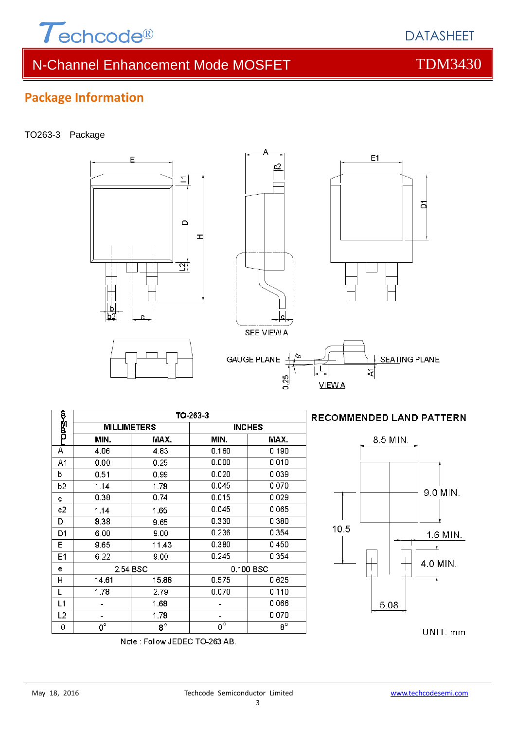

# N-Channel Enhancement Mode MOSFET THE TDM3430

s.

E

### TO263-3 Package

**Package Information**



 $c2$ 

2.79

1.68

1.78

 $\overline{8^{\circ}}$ 



**DATASHEET** 

되

 $E1$ 



−დ¤≩⊀ო

 $\overline{\mathsf{A}}$ 

A<sub>1</sub>

b

 $b2$ 

 $\ddot{\text{c}}$ 

 $c2$ 

D

D<sub>1</sub>

E  $E1$ 

e

 $\overline{H}$ 

L

 $L1$ 

 $L<sub>2</sub>$ 

 $\boldsymbol{\theta}$ 

1.78

 $\sim$ 

 $\overline{\phantom{a}}$ 

 $\overline{0^{\circ}}$ 

0.070

 $\mathbb{Z}^2$ 

 $\sim$  $\overline{0^{\circ}}$   $0.110$ 0.066

0.070

 $\overline{8^{\circ}}$